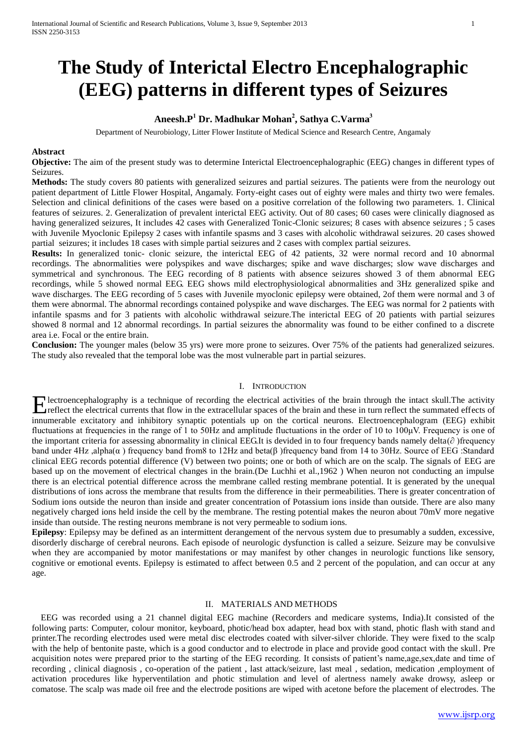# **The Study of Interictal Electro Encephalographic (EEG) patterns in different types of Seizures**

## **Aneesh.P<sup>1</sup> Dr. Madhukar Mohan<sup>2</sup> , Sathya C.Varma<sup>3</sup>**

Department of Neurobiology, Litter Flower Institute of Medical Science and Research Centre, Angamaly

## **Abstract**

**Objective:** The aim of the present study was to determine Interictal Electroencephalographic (EEG) changes in different types of Seizures.

**Methods:** The study covers 80 patients with generalized seizures and partial seizures. The patients were from the neurology out patient department of Little Flower Hospital, Angamaly. Forty-eight cases out of eighty were males and thirty two were females. Selection and clinical definitions of the cases were based on a positive correlation of the following two parameters. 1. Clinical features of seizures. 2. Generalization of prevalent interictal EEG activity. Out of 80 cases; 60 cases were clinically diagnosed as having generalized seizures, It includes 42 cases with Generalized Tonic-Clonic seizures; 8 cases with absence seizures ; 5 cases with Juvenile Myoclonic Epilepsy 2 cases with infantile spasms and 3 cases with alcoholic withdrawal seizures. 20 cases showed partial seizures; it includes 18 cases with simple partial seizures and 2 cases with complex partial seizures.

**Results:** In generalized tonic- clonic seizure, the interictal EEG of 42 patients, 32 were normal record and 10 abnormal recordings. The abnormalities were polyspikes and wave discharges; spike and wave discharges; slow wave discharges and symmetrical and synchronous. The EEG recording of 8 patients with absence seizures showed 3 of them abnormal EEG recordings, while 5 showed normal EEG. EEG shows mild electrophysiological abnormalities and 3Hz generalized spike and wave discharges. The EEG recording of 5 cases with Juvenile myoclonic epilepsy were obtained, 2of them were normal and 3 of them were abnormal. The abnormal recordings contained polyspike and wave discharges. The EEG was normal for 2 patients with infantile spasms and for 3 patients with alcoholic withdrawal seizure.The interictal EEG of 20 patients with partial seizures showed 8 normal and 12 abnormal recordings. In partial seizures the abnormality was found to be either confined to a discrete area i.e. Focal or the entire brain.

**Conclusion:** The younger males (below 35 yrs) were more prone to seizures. Over 75% of the patients had generalized seizures. The study also revealed that the temporal lobe was the most vulnerable part in partial seizures.

## I. INTRODUCTION

lectroencephalography is a technique of recording the electrical activities of the brain through the intact skull.The activity **F** lectroencephalography is a technique of recording the electrical activities of the brain through the intact skull. The activity reflect the electrical currents that flow in the extracellular spaces of the brain and the innumerable excitatory and inhibitory synaptic potentials up on the cortical neurons. Electroencephalogram (EEG) exhibit fluctuations at frequencies in the range of 1 to 50Hz and amplitude fluctuations in the order of 10 to 100μV. Frequency is one of the important criteria for assessing abnormality in clinical EEG.It is devided in to four frequency bands namely delta(∂ )frequency band under 4Hz ,alpha(α) frequency band from8 to 12Hz and beta(β) frequency band from 14 to 30Hz. Source of EEG :Standard clinical EEG records potential difference (V) between two points; one or both of which are on the scalp. The signals of EEG are based up on the movement of electrical changes in the brain.(De Luchhi et al.,1962 ) When neuron not conducting an impulse there is an electrical potential difference across the membrane called resting membrane potential. It is generated by the unequal distributions of ions across the membrane that results from the difference in their permeabilities. There is greater concentration of Sodium ions outside the neuron than inside and greater concentration of Potassium ions inside than outside. There are also many negatively charged ions held inside the cell by the membrane. The resting potential makes the neuron about 70mV more negative inside than outside. The resting neurons membrane is not very permeable to sodium ions.

**Epilepsy**: Epilepsy may be defined as an intermittent derangement of the nervous system due to presumably a sudden, excessive, disorderly discharge of cerebral neurons. Each episode of neurologic dysfunction is called a seizure. Seizure may be convulsive when they are accompanied by motor manifestations or may manifest by other changes in neurologic functions like sensory, cognitive or emotional events. Epilepsy is estimated to affect between 0.5 and 2 percent of the population, and can occur at any age.

## II. MATERIALS AND METHODS

 EEG was recorded using a 21 channel digital EEG machine (Recorders and medicare systems, India).It consisted of the following parts: Computer, colour monitor, keyboard, photic/head box adapter, head box with stand, photic flash with stand and printer.The recording electrodes used were metal disc electrodes coated with silver-silver chloride. They were fixed to the scalp with the help of bentonite paste, which is a good conductor and to electrode in place and provide good contact with the skull. Pre acquisition notes were prepared prior to the starting of the EEG recording. It consists of patient's name,age,sex,date and time of recording , clinical diagnosis , co-operation of the patient , last attack/seizure, last meal , sedation, medication ,employment of activation procedures like hyperventilation and photic stimulation and level of alertness namely awake drowsy, asleep or comatose. The scalp was made oil free and the electrode positions are wiped with acetone before the placement of electrodes. The